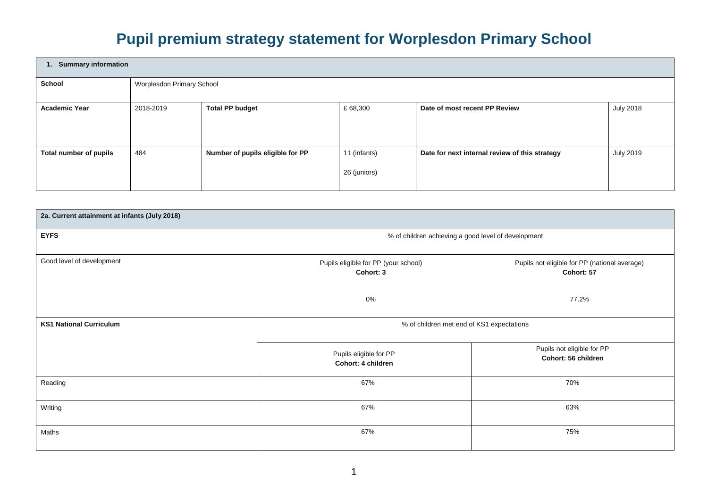## **Pupil premium strategy statement for Worplesdon Primary School**

| 1. Summary information |                           |                                  |                              |                                                |                  |  |
|------------------------|---------------------------|----------------------------------|------------------------------|------------------------------------------------|------------------|--|
| <b>School</b>          | Worplesdon Primary School |                                  |                              |                                                |                  |  |
| <b>Academic Year</b>   | 2018-2019                 | <b>Total PP budget</b>           | £68,300                      | Date of most recent PP Review                  | <b>July 2018</b> |  |
| Total number of pupils | 484                       | Number of pupils eligible for PP | 11 (infants)<br>26 (juniors) | Date for next internal review of this strategy | <b>July 2019</b> |  |

| 2a. Current attainment at infants (July 2018) |                                                     |                                                             |  |  |
|-----------------------------------------------|-----------------------------------------------------|-------------------------------------------------------------|--|--|
| <b>EYFS</b>                                   | % of children achieving a good level of development |                                                             |  |  |
| Good level of development                     | Pupils eligible for PP (your school)<br>Cohort: 3   | Pupils not eligible for PP (national average)<br>Cohort: 57 |  |  |
|                                               | 0%                                                  | 77.2%                                                       |  |  |
| <b>KS1 National Curriculum</b>                | % of children met end of KS1 expectations           |                                                             |  |  |
|                                               | Pupils eligible for PP<br>Cohort: 4 children        | Pupils not eligible for PP<br>Cohort: 56 children           |  |  |
| Reading                                       | 67%                                                 | 70%                                                         |  |  |
| Writing                                       | 67%                                                 | 63%                                                         |  |  |
| Maths                                         | 67%                                                 | 75%                                                         |  |  |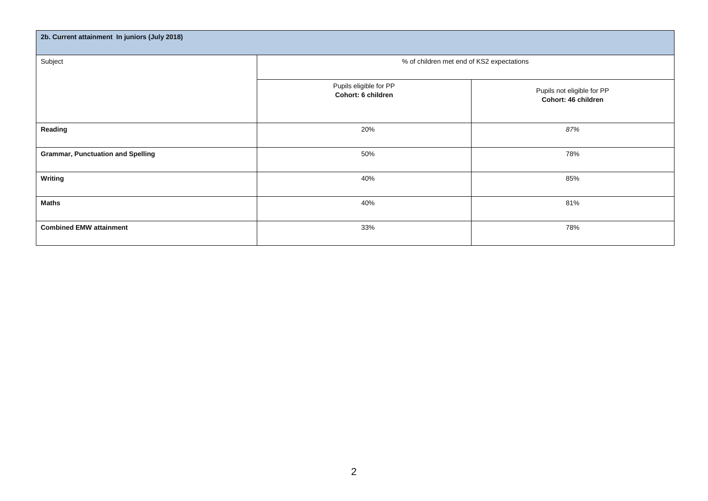| 2b. Current attainment In juniors (July 2018) |                                              |                                                   |  |  |  |
|-----------------------------------------------|----------------------------------------------|---------------------------------------------------|--|--|--|
| Subject                                       | % of children met end of KS2 expectations    |                                                   |  |  |  |
|                                               | Pupils eligible for PP<br>Cohort: 6 children | Pupils not eligible for PP<br>Cohort: 46 children |  |  |  |
| Reading                                       | 20%                                          | 87%                                               |  |  |  |
| <b>Grammar, Punctuation and Spelling</b>      | 50%                                          | 78%                                               |  |  |  |
| <b>Writing</b>                                | 40%                                          | 85%                                               |  |  |  |
| <b>Maths</b>                                  | 40%                                          | 81%                                               |  |  |  |
| <b>Combined EMW attainment</b>                | 33%                                          | 78%                                               |  |  |  |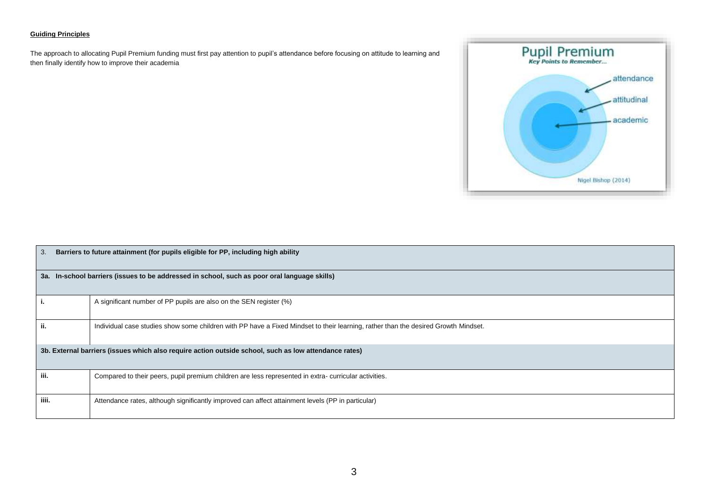## **Guiding Principles**

The approach to allocating Pupil Premium funding must first pay attention to pupil's attendance before focusing on attitude to learning and then finally identify how to improve their academia



| 3.    | Barriers to future attainment (for pupils eligible for PP, including high ability                                                  |  |  |  |  |
|-------|------------------------------------------------------------------------------------------------------------------------------------|--|--|--|--|
|       | 3a. In-school barriers (issues to be addressed in school, such as poor oral language skills)                                       |  |  |  |  |
| i.    | A significant number of PP pupils are also on the SEN register (%)                                                                 |  |  |  |  |
| ii.   | Individual case studies show some children with PP have a Fixed Mindset to their learning, rather than the desired Growth Mindset. |  |  |  |  |
|       | 3b. External barriers (issues which also require action outside school, such as low attendance rates)                              |  |  |  |  |
| iii.  | Compared to their peers, pupil premium children are less represented in extra-curricular activities.                               |  |  |  |  |
| iiii. | Attendance rates, although significantly improved can affect attainment levels (PP in particular)                                  |  |  |  |  |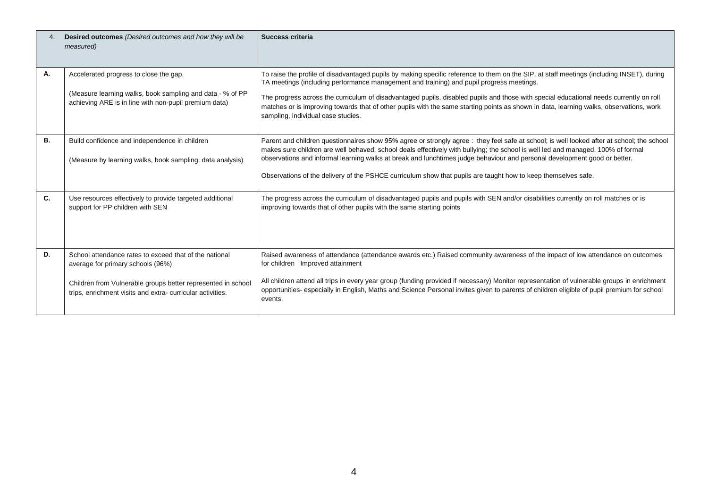| $\overline{4}$ | Desired outcomes (Desired outcomes and how they will be<br>measured)                                                                                                                                                     | Success criteria                                                                                                                                                                                                                                                                                                                                                                                                                                                                                                                                                 |
|----------------|--------------------------------------------------------------------------------------------------------------------------------------------------------------------------------------------------------------------------|------------------------------------------------------------------------------------------------------------------------------------------------------------------------------------------------------------------------------------------------------------------------------------------------------------------------------------------------------------------------------------------------------------------------------------------------------------------------------------------------------------------------------------------------------------------|
| А.             | Accelerated progress to close the gap.<br>(Measure learning walks, book sampling and data - % of PP<br>achieving ARE is in line with non-pupil premium data)                                                             | To raise the profile of disadvantaged pupils by making specific reference to them on the SIP, at staff meetings (including INSET), during<br>TA meetings (including performance management and training) and pupil progress meetings.<br>The progress across the curriculum of disadvantaged pupils, disabled pupils and those with special educational needs currently on roll<br>matches or is improving towards that of other pupils with the same starting points as shown in data, learning walks, observations, work<br>sampling, individual case studies. |
| В.             | Build confidence and independence in children<br>(Measure by learning walks, book sampling, data analysis)                                                                                                               | Parent and children questionnaires show 95% agree or strongly agree : they feel safe at school; is well looked after at school; the school<br>makes sure children are well behaved; school deals effectively with bullying; the school is well led and managed. 100% of formal<br>observations and informal learning walks at break and lunchtimes judge behaviour and personal development good or better.<br>Observations of the delivery of the PSHCE curriculum show that pupils are taught how to keep themselves safe.                                     |
| C.             | Use resources effectively to provide targeted additional<br>support for PP children with SEN                                                                                                                             | The progress across the curriculum of disadvantaged pupils and pupils with SEN and/or disabilities currently on roll matches or is<br>improving towards that of other pupils with the same starting points                                                                                                                                                                                                                                                                                                                                                       |
| D.             | School attendance rates to exceed that of the national<br>average for primary schools (96%)<br>Children from Vulnerable groups better represented in school<br>trips, enrichment visits and extra-curricular activities. | Raised awareness of attendance (attendance awards etc.) Raised community awareness of the impact of low attendance on outcomes<br>for children Improved attainment<br>All children attend all trips in every year group (funding provided if necessary) Monitor representation of vulnerable groups in enrichment<br>opportunities- especially in English, Maths and Science Personal invites given to parents of children eligible of pupil premium for school<br>events.                                                                                       |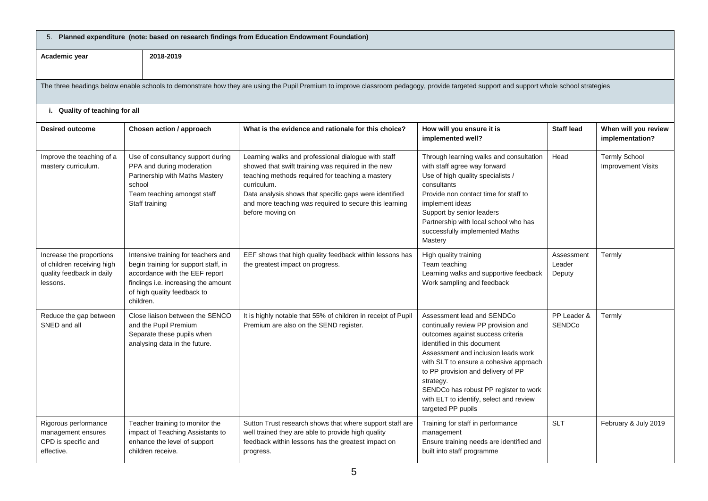| 5. Planned expenditure (note: based on research findings from Education Endowment Foundation)                                                                                           |                                                                                                                                                                                                  |                                                                                                                                                                                                                                                                                                                      |                                                                                                                                                                                                                                                                                                                                                                                     |                                |                                                   |  |  |
|-----------------------------------------------------------------------------------------------------------------------------------------------------------------------------------------|--------------------------------------------------------------------------------------------------------------------------------------------------------------------------------------------------|----------------------------------------------------------------------------------------------------------------------------------------------------------------------------------------------------------------------------------------------------------------------------------------------------------------------|-------------------------------------------------------------------------------------------------------------------------------------------------------------------------------------------------------------------------------------------------------------------------------------------------------------------------------------------------------------------------------------|--------------------------------|---------------------------------------------------|--|--|
| 2018-2019<br>Academic year                                                                                                                                                              |                                                                                                                                                                                                  |                                                                                                                                                                                                                                                                                                                      |                                                                                                                                                                                                                                                                                                                                                                                     |                                |                                                   |  |  |
| The three headings below enable schools to demonstrate how they are using the Pupil Premium to improve classroom pedagogy, provide targeted support and support whole school strategies |                                                                                                                                                                                                  |                                                                                                                                                                                                                                                                                                                      |                                                                                                                                                                                                                                                                                                                                                                                     |                                |                                                   |  |  |
| i. Quality of teaching for all                                                                                                                                                          |                                                                                                                                                                                                  |                                                                                                                                                                                                                                                                                                                      |                                                                                                                                                                                                                                                                                                                                                                                     |                                |                                                   |  |  |
| <b>Desired outcome</b>                                                                                                                                                                  | Chosen action / approach                                                                                                                                                                         | What is the evidence and rationale for this choice?                                                                                                                                                                                                                                                                  | How will you ensure it is<br>implemented well?                                                                                                                                                                                                                                                                                                                                      | <b>Staff lead</b>              | When will you review<br>implementation?           |  |  |
| Improve the teaching of a<br>mastery curriculum.                                                                                                                                        | Use of consultancy support during<br>PPA and during moderation<br>Partnership with Maths Mastery<br>school<br>Team teaching amongst staff<br>Staff training                                      | Learning walks and professional dialogue with staff<br>showed that swift training was required in the new<br>teaching methods required for teaching a mastery<br>curriculum.<br>Data analysis shows that specific gaps were identified<br>and more teaching was required to secure this learning<br>before moving on | Through learning walks and consultation<br>with staff agree way forward<br>Use of high quality specialists /<br>consultants<br>Provide non contact time for staff to<br>implement ideas<br>Support by senior leaders<br>Partnership with local school who has<br>successfully implemented Maths<br>Mastery                                                                          | Head                           | <b>Termly School</b><br><b>Improvement Visits</b> |  |  |
| Increase the proportions<br>of children receiving high<br>quality feedback in daily<br>lessons.                                                                                         | Intensive training for teachers and<br>begin training for support staff, in<br>accordance with the EEF report<br>findings i.e. increasing the amount<br>of high quality feedback to<br>children. | EEF shows that high quality feedback within lessons has<br>the greatest impact on progress.                                                                                                                                                                                                                          | High quality training<br>Team teaching<br>Learning walks and supportive feedback<br>Work sampling and feedback                                                                                                                                                                                                                                                                      | Assessment<br>Leader<br>Deputy | Termly                                            |  |  |
| Reduce the gap between<br>SNED and all                                                                                                                                                  | Close liaison between the SENCO<br>and the Pupil Premium<br>Separate these pupils when<br>analysing data in the future.                                                                          | It is highly notable that 55% of children in receipt of Pupil<br>Premium are also on the SEND register.                                                                                                                                                                                                              | Assessment lead and SENDCo<br>continually review PP provision and<br>outcomes against success criteria<br>identified in this document<br>Assessment and inclusion leads work<br>with SLT to ensure a cohesive approach<br>to PP provision and delivery of PP<br>strategy.<br>SENDCo has robust PP register to work<br>with ELT to identify, select and review<br>targeted PP pupils | PP Leader &<br><b>SENDCo</b>   | Termly                                            |  |  |
| Rigorous performance<br>management ensures<br>CPD is specific and<br>effective.                                                                                                         | Teacher training to monitor the<br>impact of Teaching Assistants to<br>enhance the level of support<br>children receive.                                                                         | Sutton Trust research shows that where support staff are<br>well trained they are able to provide high quality<br>feedback within lessons has the greatest impact on<br>progress.                                                                                                                                    | Training for staff in performance<br>management<br>Ensure training needs are identified and<br>built into staff programme                                                                                                                                                                                                                                                           | <b>SLT</b>                     | February & July 2019                              |  |  |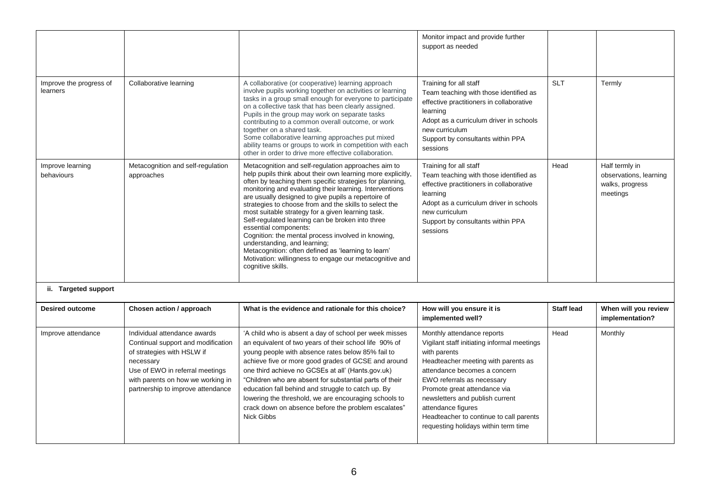|                                     |                                                                                                                                                                                                                            |                                                                                                                                                                                                                                                                                                                                                                                                                                                                                                                                                                                                                                                                                                                           | Monitor impact and provide further<br>support as needed                                                                                                                                                                                                                                                                                                                    |                   |                                                                         |
|-------------------------------------|----------------------------------------------------------------------------------------------------------------------------------------------------------------------------------------------------------------------------|---------------------------------------------------------------------------------------------------------------------------------------------------------------------------------------------------------------------------------------------------------------------------------------------------------------------------------------------------------------------------------------------------------------------------------------------------------------------------------------------------------------------------------------------------------------------------------------------------------------------------------------------------------------------------------------------------------------------------|----------------------------------------------------------------------------------------------------------------------------------------------------------------------------------------------------------------------------------------------------------------------------------------------------------------------------------------------------------------------------|-------------------|-------------------------------------------------------------------------|
| Improve the progress of<br>learners | Collaborative learning                                                                                                                                                                                                     | A collaborative (or cooperative) learning approach<br>involve pupils working together on activities or learning<br>tasks in a group small enough for everyone to participate<br>on a collective task that has been clearly assigned.<br>Pupils in the group may work on separate tasks<br>contributing to a common overall outcome, or work<br>together on a shared task.<br>Some collaborative learning approaches put mixed<br>ability teams or groups to work in competition with each<br>other in order to drive more effective collaboration.                                                                                                                                                                        | Training for all staff<br>Team teaching with those identified as<br>effective practitioners in collaborative<br>learning<br>Adopt as a curriculum driver in schools<br>new curriculum<br>Support by consultants within PPA<br>sessions                                                                                                                                     | <b>SLT</b>        | Termly                                                                  |
| Improve learning<br>behaviours      | Metacognition and self-regulation<br>approaches                                                                                                                                                                            | Metacognition and self-regulation approaches aim to<br>help pupils think about their own learning more explicitly,<br>often by teaching them specific strategies for planning,<br>monitoring and evaluating their learning. Interventions<br>are usually designed to give pupils a repertoire of<br>strategies to choose from and the skills to select the<br>most suitable strategy for a given learning task.<br>Self-regulated learning can be broken into three<br>essential components:<br>Cognition: the mental process involved in knowing,<br>understanding, and learning;<br>Metacognition: often defined as 'learning to learn'<br>Motivation: willingness to engage our metacognitive and<br>cognitive skills. | Training for all staff<br>Team teaching with those identified as<br>effective practitioners in collaborative<br>learning<br>Adopt as a curriculum driver in schools<br>new curriculum<br>Support by consultants within PPA<br>sessions                                                                                                                                     | Head              | Half termly in<br>observations, learning<br>walks, progress<br>meetings |
| ii. Targeted support                |                                                                                                                                                                                                                            |                                                                                                                                                                                                                                                                                                                                                                                                                                                                                                                                                                                                                                                                                                                           |                                                                                                                                                                                                                                                                                                                                                                            |                   |                                                                         |
| <b>Desired outcome</b>              | Chosen action / approach                                                                                                                                                                                                   | What is the evidence and rationale for this choice?                                                                                                                                                                                                                                                                                                                                                                                                                                                                                                                                                                                                                                                                       | How will you ensure it is<br>implemented well?                                                                                                                                                                                                                                                                                                                             | <b>Staff lead</b> | When will you review<br>implementation?                                 |
| Improve attendance                  | Individual attendance awards<br>Continual support and modification<br>of strategies with HSLW if<br>necessary<br>Use of EWO in referral meetings<br>with parents on how we working in<br>partnership to improve attendance | 'A child who is absent a day of school per week misses<br>an equivalent of two years of their school life 90% of<br>young people with absence rates below 85% fail to<br>achieve five or more good grades of GCSE and around<br>one third achieve no GCSEs at all' (Hants.gov.uk)<br>"Children who are absent for substantial parts of their<br>education fall behind and struggle to catch up. By<br>lowering the threshold, we are encouraging schools to<br>crack down on absence before the problem escalates"<br><b>Nick Gibbs</b>                                                                                                                                                                                   | Monthly attendance reports<br>Vigilant staff initiating informal meetings<br>with parents<br>Headteacher meeting with parents as<br>attendance becomes a concern<br>EWO referrals as necessary<br>Promote great attendance via<br>newsletters and publish current<br>attendance figures<br>Headteacher to continue to call parents<br>requesting holidays within term time | Head              | Monthly                                                                 |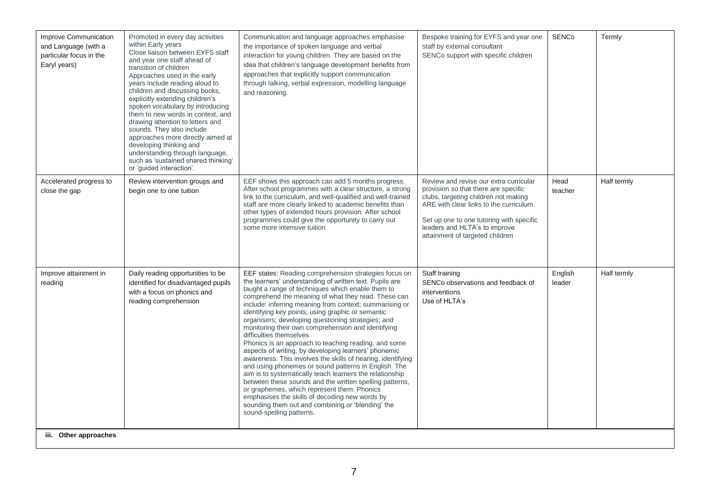| within Early years<br>and Language (with a<br>particular focus in the<br>Earyl years) | Close liaison between EYFS staff<br>and year one staff ahead of<br>transition of children<br>Approaches used in the early<br>years include reading aloud to<br>children and discussing books,<br>explicitly extending children's<br>spoken vocabulary by introducing<br>them to new words in context, and<br>drawing attention to letters and<br>sounds. They also include<br>approaches more directly aimed at<br>developing thinking and<br>understanding through language,<br>such as 'sustained shared thinking'<br>or 'guided interaction'. | the importance of spoken language and verbal<br>interaction for young children. They are based on the<br>idea that children's language development benefits from<br>approaches that explicitly support communication<br>through talking, verbal expression, modelling language<br>and reasoning.                                                                                                                                                                                                                                                                                                                                                                                                                                                                                                                                                                                                                                                                                                                                    | staff by external consultant<br>SENCo support with specific children                                                                                                                                                                                                              |                   |             |
|---------------------------------------------------------------------------------------|--------------------------------------------------------------------------------------------------------------------------------------------------------------------------------------------------------------------------------------------------------------------------------------------------------------------------------------------------------------------------------------------------------------------------------------------------------------------------------------------------------------------------------------------------|-------------------------------------------------------------------------------------------------------------------------------------------------------------------------------------------------------------------------------------------------------------------------------------------------------------------------------------------------------------------------------------------------------------------------------------------------------------------------------------------------------------------------------------------------------------------------------------------------------------------------------------------------------------------------------------------------------------------------------------------------------------------------------------------------------------------------------------------------------------------------------------------------------------------------------------------------------------------------------------------------------------------------------------|-----------------------------------------------------------------------------------------------------------------------------------------------------------------------------------------------------------------------------------------------------------------------------------|-------------------|-------------|
| Accelerated progress to<br>close the gap                                              | Review intervention groups and<br>begin one to one tuition                                                                                                                                                                                                                                                                                                                                                                                                                                                                                       | EEF shows this approach can add 5 months progress.<br>After school programmes with a clear structure, a strong<br>link to the curriculum, and well-qualified and well-trained<br>staff are more clearly linked to academic benefits than<br>other types of extended hours provision. After school<br>programmes could give the opportunity to carry out<br>some more intensive tuition                                                                                                                                                                                                                                                                                                                                                                                                                                                                                                                                                                                                                                              | Review and revise our extra curricular<br>provision so that there are specific<br>clubs, targeting children not making<br>ARE with clear links to the curriculum.<br>Set up one to one tutoring with specific<br>leaders and HLTA's to improve<br>attainment of targeted children | Head<br>teacher   | Half termly |
| Improve attainment in<br>reading<br>iii. Other approaches                             | Daily reading opportunities to be<br>identified for disadvantaged pupils<br>with a focus on phonics and<br>reading comprehension                                                                                                                                                                                                                                                                                                                                                                                                                 | EEF states: Reading comprehension strategies focus on<br>the learners' understanding of written text. Pupils are<br>taught a range of techniques which enable them to<br>comprehend the meaning of what they read. These can<br>include: inferring meaning from context; summarising or<br>identifying key points; using graphic or semantic<br>organisers; developing questioning strategies; and<br>monitoring their own comprehension and identifying<br>difficulties themselves<br>Phonics is an approach to teaching reading, and some<br>aspects of writing, by developing learners' phonemic<br>awareness. This involves the skills of hearing, identifying<br>and using phonemes or sound patterns in English. The<br>aim is to systematically teach learners the relationship<br>between these sounds and the written spelling patterns,<br>or graphemes, which represent them. Phonics<br>emphasises the skills of decoding new words by<br>sounding them out and combining or 'blending' the<br>sound-spelling patterns. | Staff training<br>SENCo observations and feedback of<br>interventions<br>Use of HLTA's                                                                                                                                                                                            | English<br>leader | Half termly |